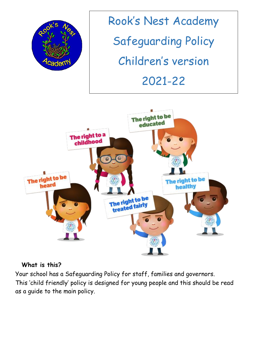

Rook's Nest Academy Safeguarding Policy Children's version 2021-22



#### **What is this?**

Your school has a Safeguarding Policy for staff, families and governors.

This 'child friendly' policy is designed for young people and this should be read as a guide to the main policy.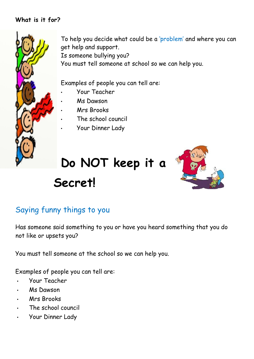#### **What is it for?**



To help you decide what could be a 'problem' and where you can get help and support.

Is someone bullying you?

You must tell someone at school so we can help you.

Examples of people you can tell are:

- Your Teacher
- Ms Dawson
- Mrs Brooks
- The school council
- Your Dinner Lady

# **Do NOT keep it a Secret!**



#### Saying funny things to you

Has someone said something to you or have you heard something that you do not like or upsets you?

You must tell someone at the school so we can help you.

Examples of people you can tell are:

- Your Teacher
- Ms Dawson
- Mrs Brooks
- The school council
- Your Dinner Lady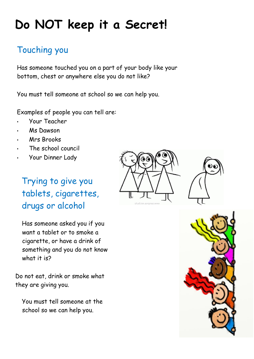## **Do NOT keep it a Secret!**

### Touching you

Has someone touched you on a part of your body like your bottom, chest or anywhere else you do not like?

You must tell someone at school so we can help you.

Examples of people you can tell are:

- Your Teacher
- Ms Dawson
- Mrs Brooks
- The school council
- Your Dinner Lady

## Trying to give you tablets, cigarettes, drugs or alcohol

Has someone asked you if you want a tablet or to smoke a cigarette, or have a drink of something and you do not know what it is?

Do not eat, drink or smoke what they are giving you.

You must tell someone at the school so we can help you.





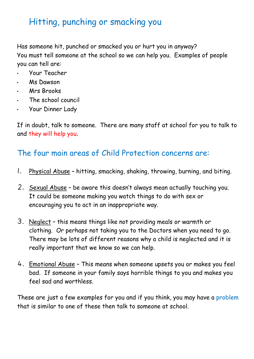### Hitting, punching or smacking you

Has someone hit, punched or smacked you or hurt you in anyway? You must tell someone at the school so we can help you. Examples of people you can tell are:

- Your Teacher
- Ms Dawson
- Mrs Brooks
- The school council
- Your Dinner Lady

If in doubt, talk to someone. There are many staff at school for you to talk to and they will help you.

#### The four main areas of Child Protection concerns are:

- 1. Physical Abuse hitting, smacking, shaking, throwing, burning, and biting.
- 2. Sexual Abuse be aware this doesn't always mean actually touching you. It could be someone making you watch things to do with sex or encouraging you to act in an inappropriate way.
- 3. Neglect this means things like not providing meals or warmth or clothing. Or perhaps not taking you to the Doctors when you need to go. There may be lots of different reasons why a child is neglected and it is really important that we know so we can help.
- 4. Emotional Abuse This means when someone upsets you or makes you feel bad. If someone in your family says horrible things to you and makes you feel sad and worthless.

These are just a few examples for you and if you think, you may have a problem that is similar to one of these then talk to someone at school.